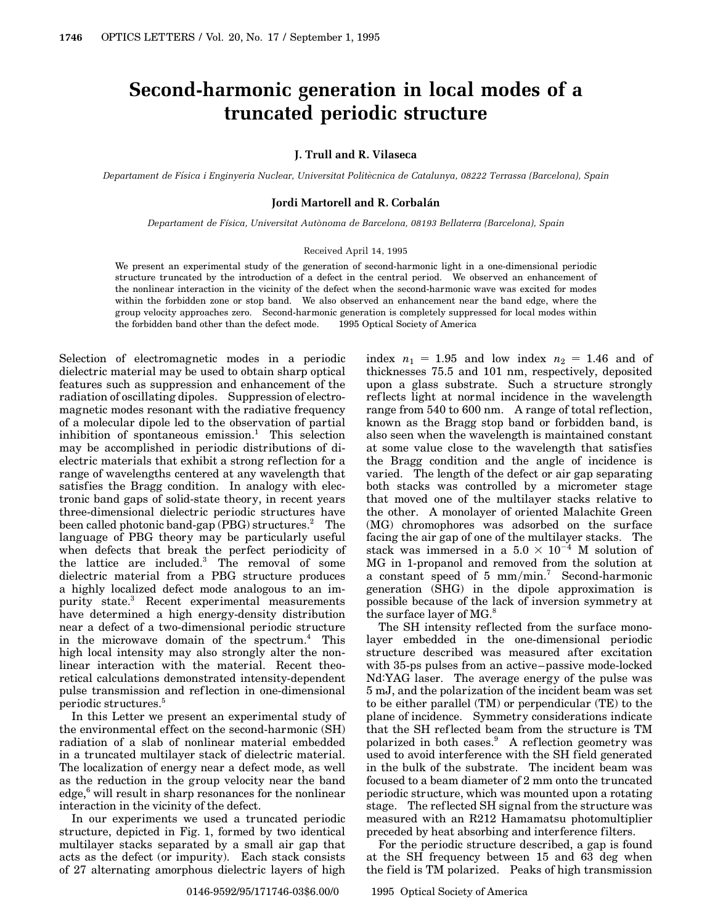# **Second-harmonic generation in local modes of a truncated periodic structure**

### **J. Trull and R. Vilaseca**

*Departament de Fısica i Enginyeria Nuclear, Universitat Polit ´ ecnica de Catalunya, 08222 Terrassa (Barcelona), Spain `*

#### **Jordi Martorell and R. Corbalan´**

*Departament de F´ısica, Universitat Aut`onoma de Barcelona, 08193 Bellaterra (Barcelona), Spain*

#### Received April 14, 1995

We present an experimental study of the generation of second-harmonic light in a one-dimensional periodic structure truncated by the introduction of a defect in the central period. We observed an enhancement of the nonlinear interaction in the vicinity of the defect when the second-harmonic wave was excited for modes within the forbidden zone or stop band. We also observed an enhancement near the band edge, where the group velocity approaches zero. Second-harmonic generation is completely suppressed for local modes within the forbidden band other than the defect mode.  $\circ$  1995 Optical Society of America

Selection of electromagnetic modes in a periodic dielectric material may be used to obtain sharp optical features such as suppression and enhancement of the radiation of oscillating dipoles. Suppression of electromagnetic modes resonant with the radiative frequency of a molecular dipole led to the observation of partial inhibition of spontaneous emission.<sup>1</sup> This selection may be accomplished in periodic distributions of dielectric materials that exhibit a strong reflection for a range of wavelengths centered at any wavelength that satisfies the Bragg condition. In analogy with electronic band gaps of solid-state theory, in recent years three-dimensional dielectric periodic structures have been called photonic band-gap  $(PBG)$  structures.<sup>2</sup> The language of PBG theory may be particularly useful when defects that break the perfect periodicity of the lattice are included.<sup>3</sup> The removal of some dielectric material from a PBG structure produces a highly localized defect mode analogous to an impurity state.<sup>3</sup> Recent experimental measurements have determined a high energy-density distribution near a defect of a two-dimensional periodic structure in the microwave domain of the spectrum.<sup>4</sup> This high local intensity may also strongly alter the nonlinear interaction with the material. Recent theoretical calculations demonstrated intensity-dependent pulse transmission and ref lection in one-dimensional periodic structures.<sup>5</sup>

In this Letter we present an experimental study of the environmental effect on the second-harmonic (SH) radiation of a slab of nonlinear material embedded in a truncated multilayer stack of dielectric material. The localization of energy near a defect mode, as well as the reduction in the group velocity near the band  $edge<sup>6</sup>$  will result in sharp resonances for the nonlinear interaction in the vicinity of the defect.

In our experiments we used a truncated periodic structure, depicted in Fig. 1, formed by two identical multilayer stacks separated by a small air gap that acts as the defect (or impurity). Each stack consists of 27 alternating amorphous dielectric layers of high

index  $n_1 = 1.95$  and low index  $n_2 = 1.46$  and of thicknesses 75.5 and 101 nm, respectively, deposited upon a glass substrate. Such a structure strongly ref lects light at normal incidence in the wavelength range from 540 to 600 nm. A range of total reflection, known as the Bragg stop band or forbidden band, is also seen when the wavelength is maintained constant at some value close to the wavelength that satisfies the Bragg condition and the angle of incidence is varied. The length of the defect or air gap separating both stacks was controlled by a micrometer stage that moved one of the multilayer stacks relative to the other. A monolayer of oriented Malachite Green (MG) chromophores was adsorbed on the surface facing the air gap of one of the multilayer stacks. The stack was immersed in a  $5.0 \times 10^{-4}$  M solution of MG in 1-propanol and removed from the solution at a constant speed of 5 mm/min.<sup>7</sup> Second-harmonic generation (SHG) in the dipole approximation is possible because of the lack of inversion symmetry at the surface layer of MG.<sup>8</sup>

The SH intensity reflected from the surface monolayer embedded in the one-dimensional periodic structure described was measured after excitation with 35-ps pulses from an active–passive mode-locked Nd:YAG laser. The average energy of the pulse was 5 mJ, and the polarization of the incident beam was set to be either parallel (TM) or perpendicular (TE) to the plane of incidence. Symmetry considerations indicate that the SH reflected beam from the structure is TM polarized in both cases.<sup>9</sup> A reflection geometry was used to avoid interference with the SH field generated in the bulk of the substrate. The incident beam was focused to a beam diameter of 2 mm onto the truncated periodic structure, which was mounted upon a rotating stage. The reflected SH signal from the structure was measured with an R212 Hamamatsu photomultiplier preceded by heat absorbing and interference filters.

For the periodic structure described, a gap is found at the SH frequency between 15 and 63 deg when the field is TM polarized. Peaks of high transmission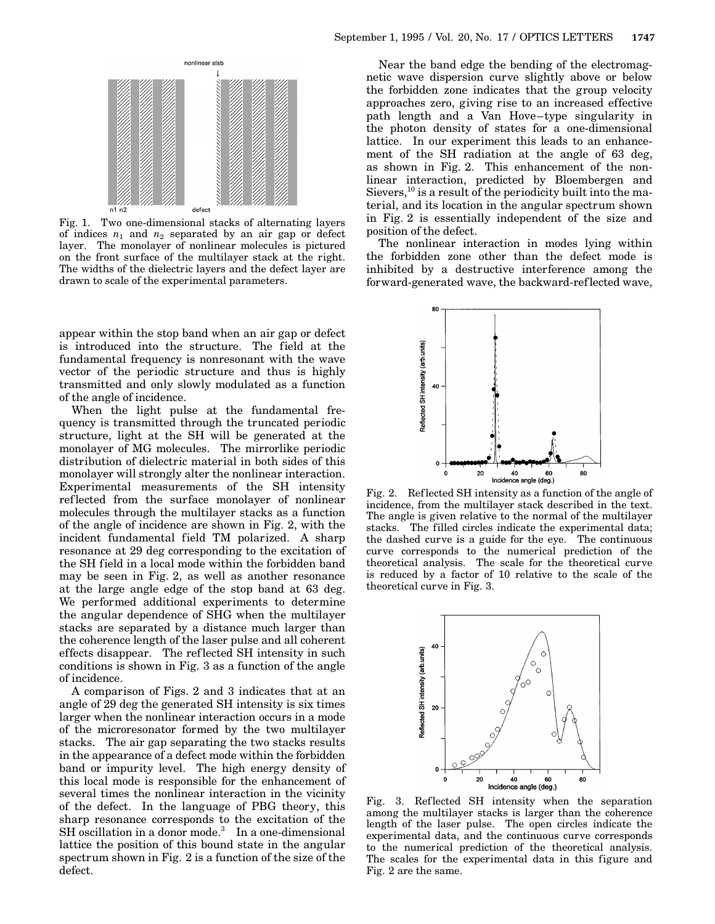

Fig. 1. Two one-dimensional stacks of alternating layers of indices  $n_1$  and  $n_2$  separated by an air gap or defect layer. The monolayer of nonlinear molecules is pictured on the front surface of the multilayer stack at the right. The widths of the dielectric layers and the defect layer are drawn to scale of the experimental parameters.

appear within the stop band when an air gap or defect is introduced into the structure. The field at the fundamental frequency is nonresonant with the wave vector of the periodic structure and thus is highly transmitted and only slowly modulated as a function of the angle of incidence.

When the light pulse at the fundamental frequency is transmitted through the truncated periodic structure, light at the SH will be generated at the monolayer of MG molecules. The mirrorlike periodic distribution of dielectric material in both sides of this monolayer will strongly alter the nonlinear interaction. Experimental measurements of the SH intensity ref lected from the surface monolayer of nonlinear molecules through the multilayer stacks as a function of the angle of incidence are shown in Fig. 2, with the incident fundamental field TM polarized. A sharp resonance at 29 deg corresponding to the excitation of the SH field in a local mode within the forbidden band may be seen in Fig. 2, as well as another resonance at the large angle edge of the stop band at 63 deg. We performed additional experiments to determine the angular dependence of SHG when the multilayer stacks are separated by a distance much larger than the coherence length of the laser pulse and all coherent effects disappear. The ref lected SH intensity in such conditions is shown in Fig. 3 as a function of the angle of incidence.

A comparison of Figs. 2 and 3 indicates that at an angle of 29 deg the generated SH intensity is six times larger when the nonlinear interaction occurs in a mode of the microresonator formed by the two multilayer stacks. The air gap separating the two stacks results in the appearance of a defect mode within the forbidden band or impurity level. The high energy density of this local mode is responsible for the enhancement of several times the nonlinear interaction in the vicinity of the defect. In the language of PBG theory, this sharp resonance corresponds to the excitation of the  $SH$  oscillation in a donor mode.<sup>3</sup> In a one-dimensional lattice the position of this bound state in the angular spectrum shown in Fig. 2 is a function of the size of the defect.

Near the band edge the bending of the electromagnetic wave dispersion curve slightly above or below the forbidden zone indicates that the group velocity approaches zero, giving rise to an increased effective path length and a Van Hove–type singularity in the photon density of states for a one-dimensional lattice. In our experiment this leads to an enhancement of the SH radiation at the angle of 63 deg, as shown in Fig. 2. This enhancement of the nonlinear interaction, predicted by Bloembergen and Sievers, $^{10}$  is a result of the periodicity built into the material, and its location in the angular spectrum shown in Fig. 2 is essentially independent of the size and position of the defect.

The nonlinear interaction in modes lying within the forbidden zone other than the defect mode is inhibited by a destructive interference among the forward-generated wave, the backward-ref lected wave,



Fig. 2. Ref lected SH intensity as a function of the angle of incidence, from the multilayer stack described in the text. The angle is given relative to the normal of the multilayer stacks. The filled circles indicate the experimental data; the dashed curve is a guide for the eye. The continuous curve corresponds to the numerical prediction of the theoretical analysis. The scale for the theoretical curve is reduced by a factor of 10 relative to the scale of the theoretical curve in Fig. 3.



Fig. 3. Reflected SH intensity when the separation among the multilayer stacks is larger than the coherence length of the laser pulse. The open circles indicate the experimental data, and the continuous curve corresponds to the numerical prediction of the theoretical analysis. The scales for the experimental data in this figure and Fig. 2 are the same.